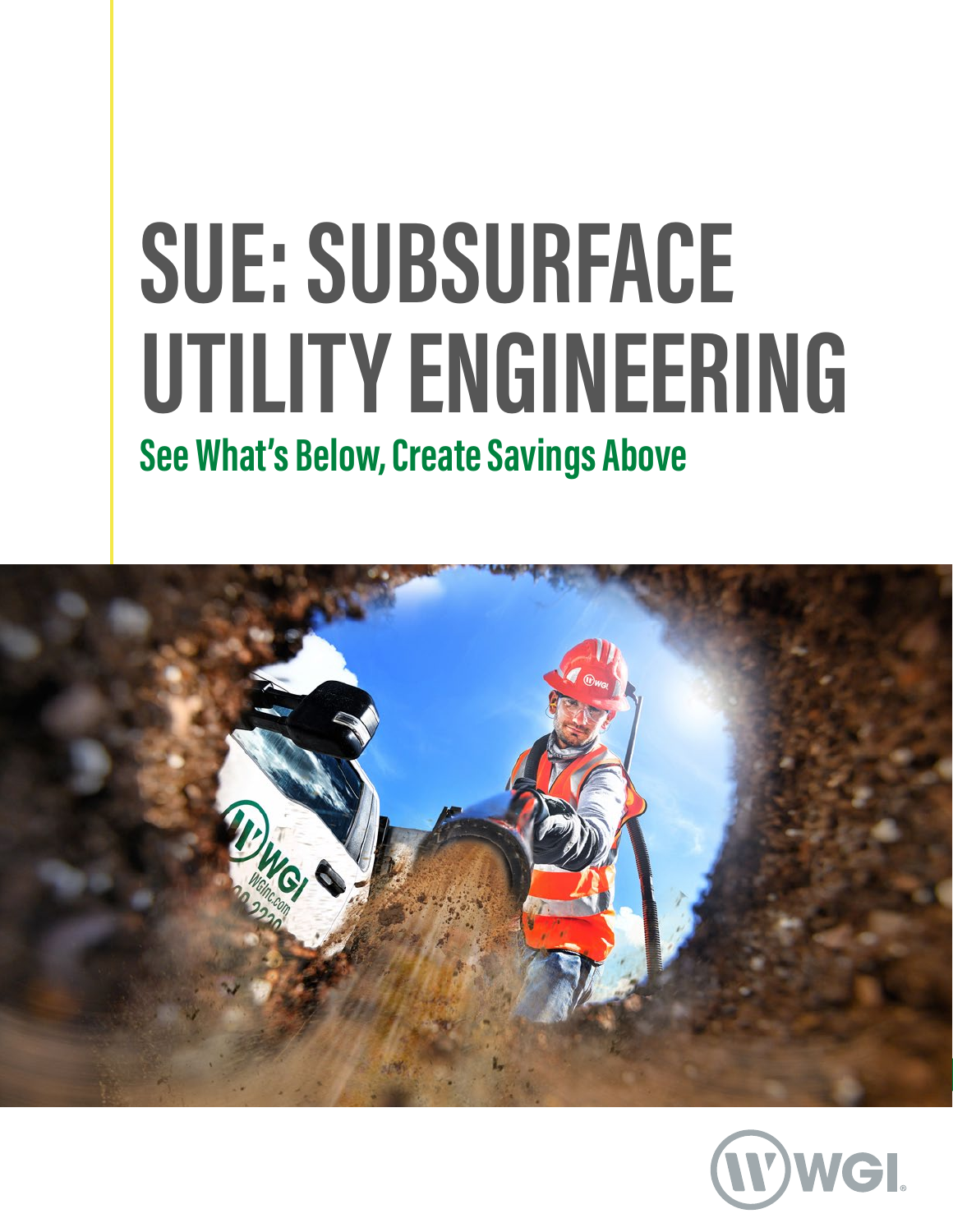# **SUE: SUBSURFACE UTILITY ENGINEERING See What's Below, Create Savings Above**



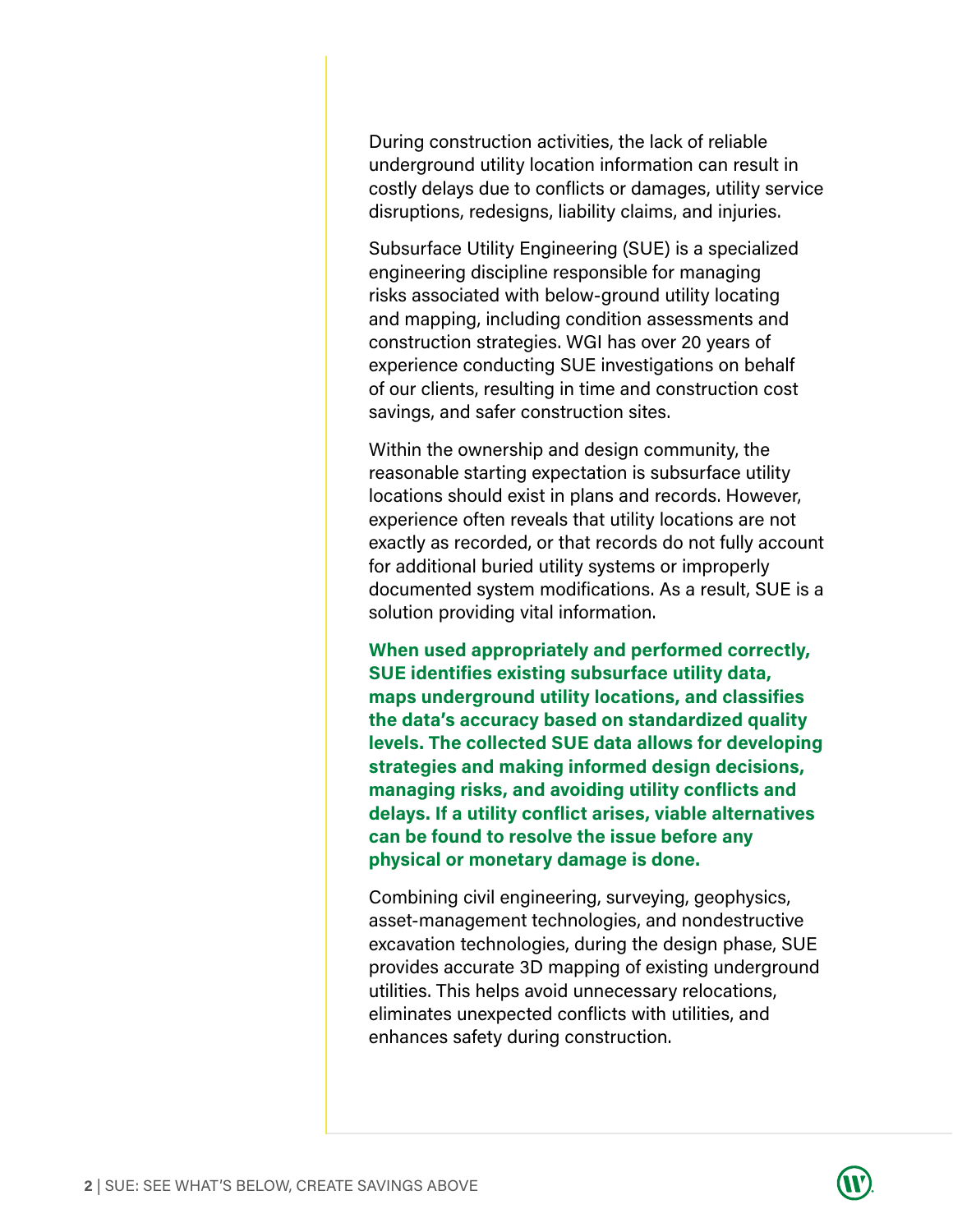During construction activities, the lack of reliable underground utility location information can result in costly delays due to conflicts or damages, utility service disruptions, redesigns, liability claims, and injuries.

Subsurface Utility Engineering (SUE) is a specialized engineering discipline responsible for managing risks associated with below-ground utility locating and mapping, including condition assessments and construction strategies. WGI has over 20 years of experience conducting SUE investigations on behalf of our clients, resulting in time and construction cost savings, and safer construction sites.

Within the ownership and design community, the reasonable starting expectation is subsurface utility locations should exist in plans and records. However, experience often reveals that utility locations are not exactly as recorded, or that records do not fully account for additional buried utility systems or improperly documented system modifications. As a result, SUE is a solution providing vital information.

**When used appropriately and performed correctly, SUE identifies existing subsurface utility data, maps underground utility locations, and classifies the data's accuracy based on standardized quality levels. The collected SUE data allows for developing strategies and making informed design decisions, managing risks, and avoiding utility conflicts and delays. If a utility conflict arises, viable alternatives can be found to resolve the issue before any physical or monetary damage is done.**

Combining civil engineering, surveying, geophysics, asset-management technologies, and nondestructive excavation technologies, during the design phase, SUE provides accurate 3D mapping of existing underground utilities. This helps avoid unnecessary relocations, eliminates unexpected conflicts with utilities, and enhances safety during construction.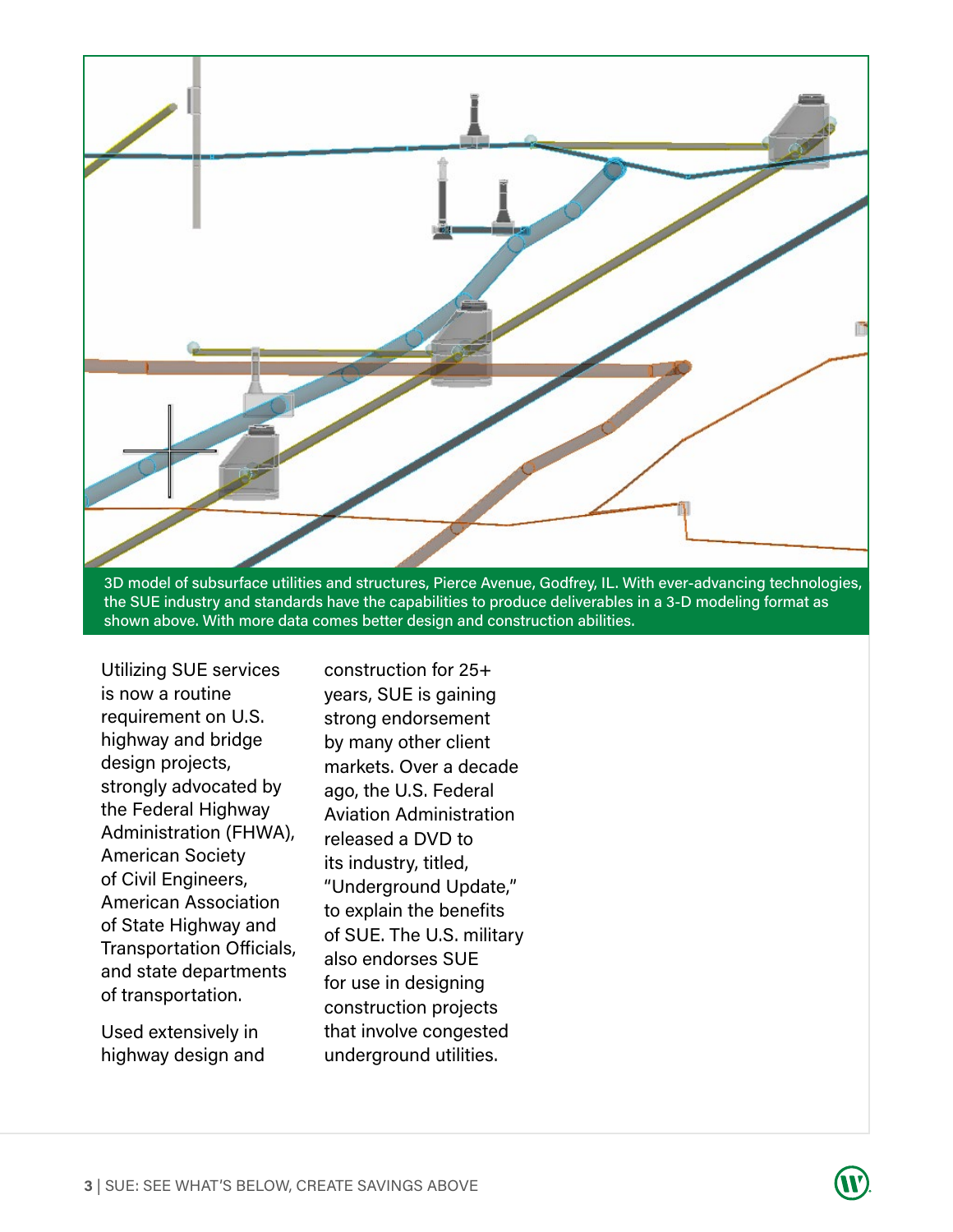

the SUE industry and standards have the capabilities to produce deliverables in a 3-D modeling format as shown above. With more data comes better design and construction abilities.

Utilizing SUE services is now a routine requirement on U.S. highway and bridge design projects, strongly advocated by the Federal Highway Administration (FHWA), American Society of Civil Engineers, American Association of State Highway and Transportation Officials, and state departments of transportation.

Used extensively in highway design and construction for 25+ years, SUE is gaining strong endorsement by many other client markets. Over a decade ago, the U.S. Federal Aviation Administration released a DVD to its industry, titled, "Underground Update," to explain the benefits of SUE. The U.S. military also endorses SUE for use in designing construction projects that involve congested underground utilities.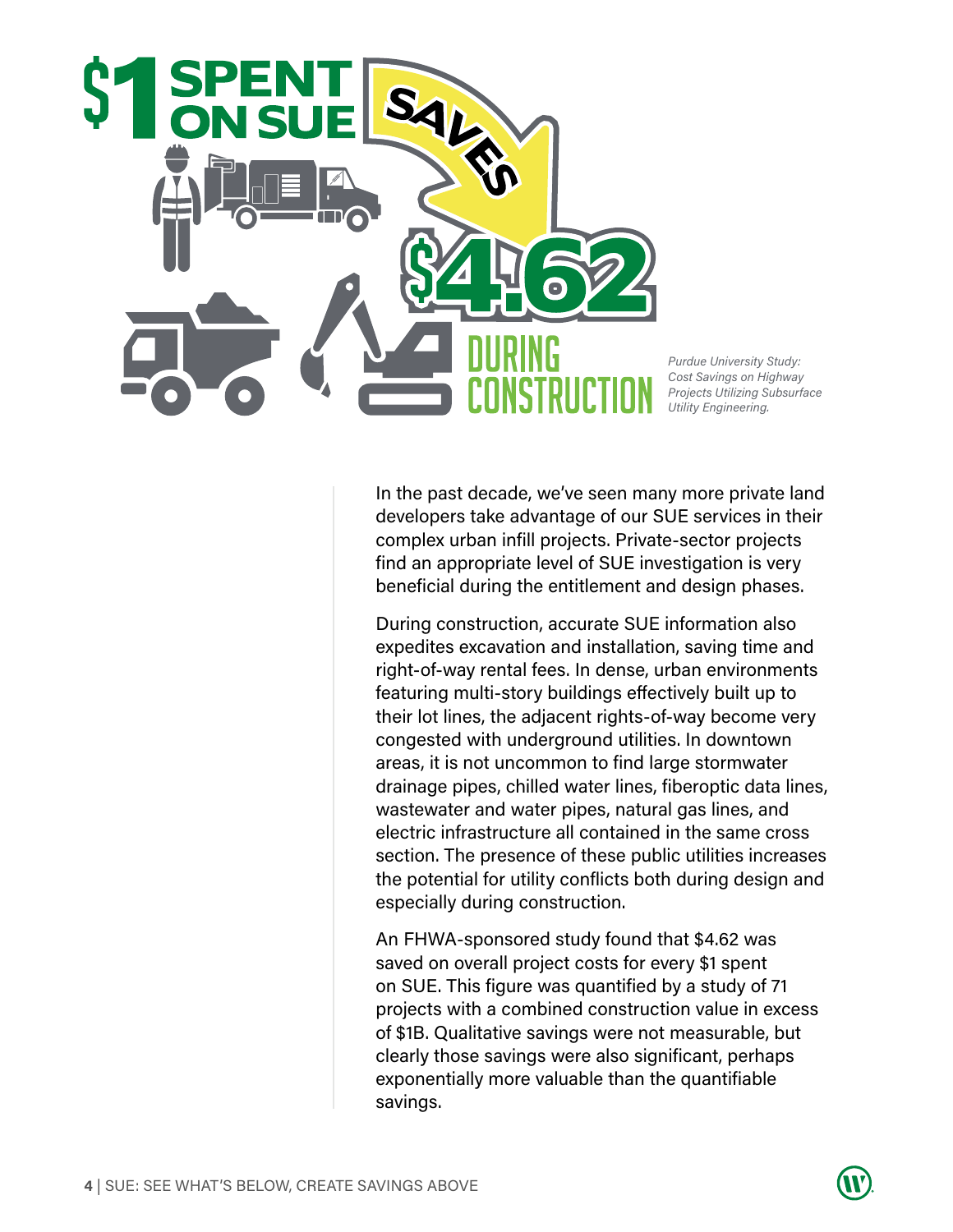

*Purdue University Study: Cost Savings on Highway Projects Utilizing Subsurface Utility Engineering.* 

In the past decade, we've seen many more private land developers take advantage of our SUE services in their complex urban infill projects. Private-sector projects find an appropriate level of SUE investigation is very beneficial during the entitlement and design phases.

During construction, accurate SUE information also expedites excavation and installation, saving time and right-of-way rental fees. In dense, urban environments featuring multi-story buildings effectively built up to their lot lines, the adjacent rights-of-way become very congested with underground utilities. In downtown areas, it is not uncommon to find large stormwater drainage pipes, chilled water lines, fiberoptic data lines, wastewater and water pipes, natural gas lines, and electric infrastructure all contained in the same cross section. The presence of these public utilities increases the potential for utility conflicts both during design and especially during construction.

An FHWA-sponsored study found that \$4.62 was saved on overall project costs for every \$1 spent on SUE. This figure was quantified by a study of 71 projects with a combined construction value in excess of \$1B. Qualitative savings were not measurable, but clearly those savings were also significant, perhaps exponentially more valuable than the quantifiable savings.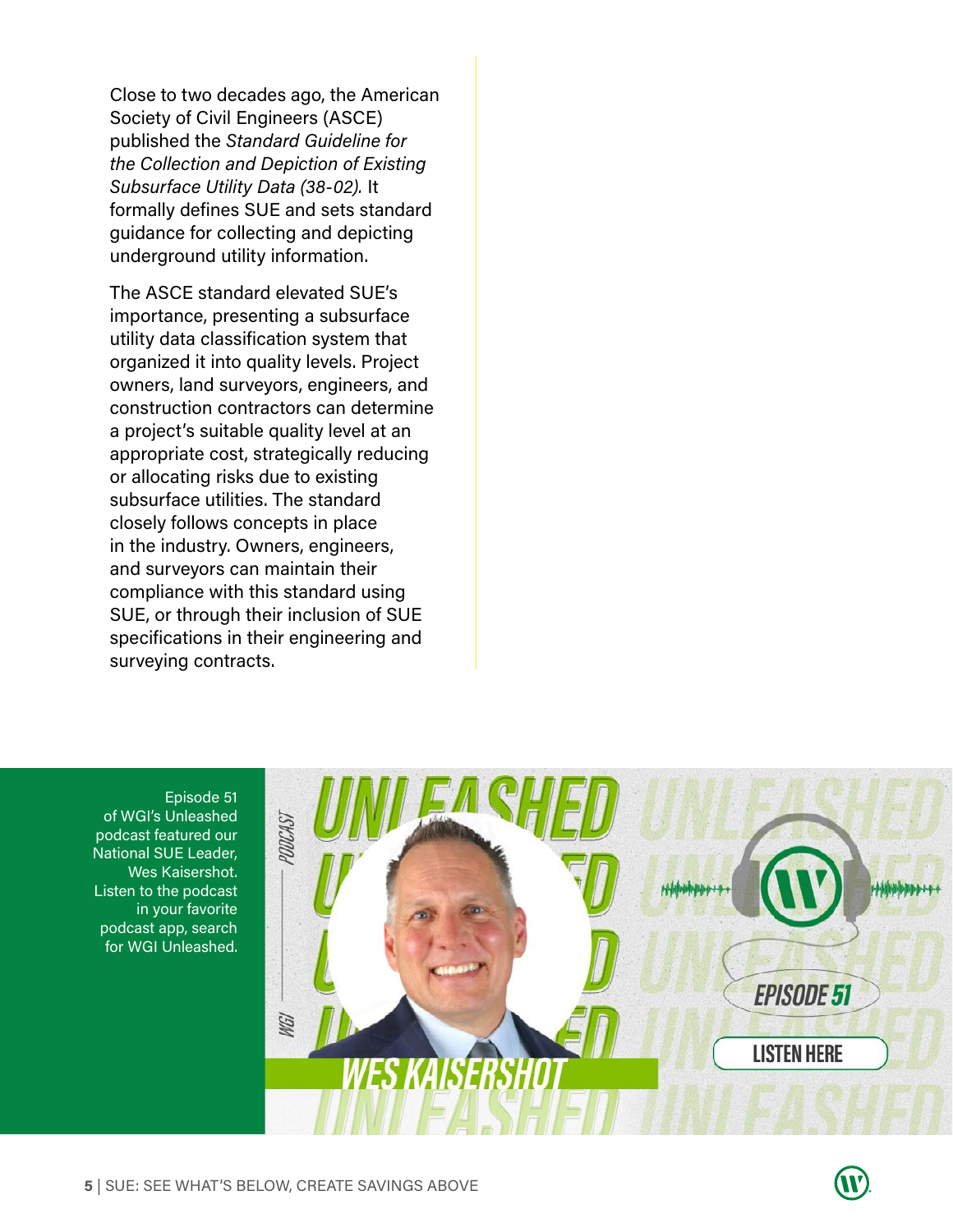Close to two decades ago, the American Society of Civil Engineers (ASCE) published the *Standard Guideline for the Collection and Depiction of Existing Subsurface Utility Data (38-02).* It formally defines SUE and sets standard guidance for collecting and depicting underground utility information.

The ASCE standard elevated SUE's importance, presenting a subsurface utility data classification system that organized it into quality levels. Project owners, land surveyors, engineers, and construction contractors can determine a project's suitable quality level at an appropriate cost, strategically reducing or allocating risks due to existing subsurface utilities. The standard closely follows concepts in place in the industry. Owners, engineers, and surveyors can maintain their compliance with this standard using SUE, or through their inclusion of SUE specifications in their engineering and surveying contracts.

Episode 51 of WGI's Unleashed podcast featured our National SUE Leader, Wes Kaisershot. Listen to the podcast in your favorite podcast app, search for WGI Unleashed.

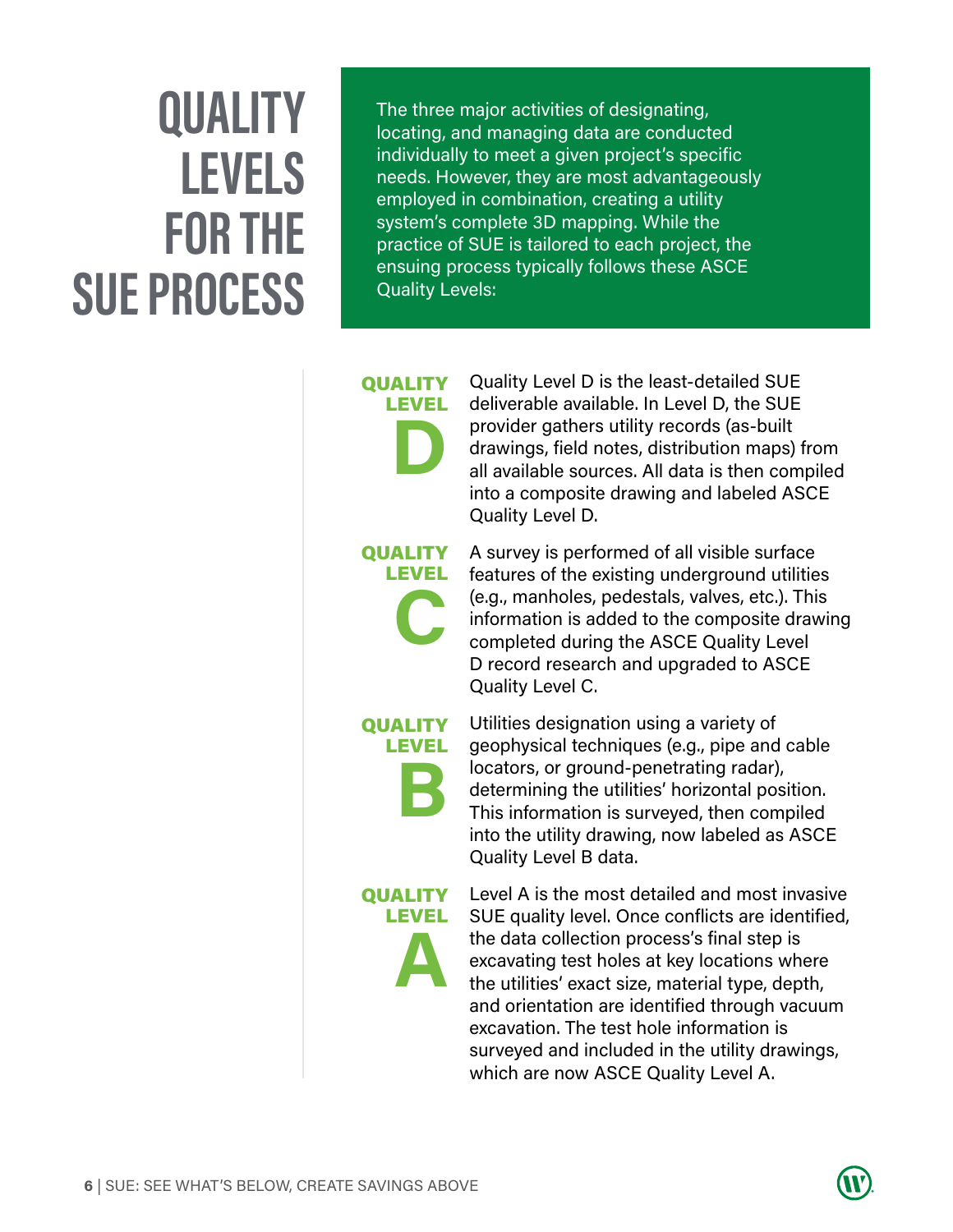## **QUALITY LEVELS FOR THE SUE PROCESS**

The three major activities of designating, locating, and managing data are conducted individually to meet a given project's specific needs. However, they are most advantageously employed in combination, creating a utility system's complete 3D mapping. While the practice of SUE is tailored to each project, the ensuing process typically follows these ASCE Quality Levels:

## **QUALITY** LEVEL **D**

Quality Level D is the least-detailed SUE deliverable available. In Level D, the SUE provider gathers utility records (as-built drawings, field notes, distribution maps) from all available sources. All data is then compiled into a composite drawing and labeled ASCE Quality Level D.

#### QUALITY LEVEL

**C**

A survey is performed of all visible surface features of the existing underground utilities (e.g., manholes, pedestals, valves, etc.). This information is added to the composite drawing completed during the ASCE Quality Level D record research and upgraded to ASCE Quality Level C.

## **QUALITY** LEVEL **B**

Utilities designation using a variety of geophysical techniques (e.g., pipe and cable locators, or ground-penetrating radar), determining the utilities' horizontal position. This information is surveyed, then compiled into the utility drawing, now labeled as ASCE Quality Level B data.

### **QUALITY** LEVEL **A**

Level A is the most detailed and most invasive SUE quality level. Once conflicts are identified, the data collection process's final step is excavating test holes at key locations where the utilities' exact size, material type, depth, and orientation are identified through vacuum excavation. The test hole information is surveyed and included in the utility drawings, which are now ASCE Quality Level A.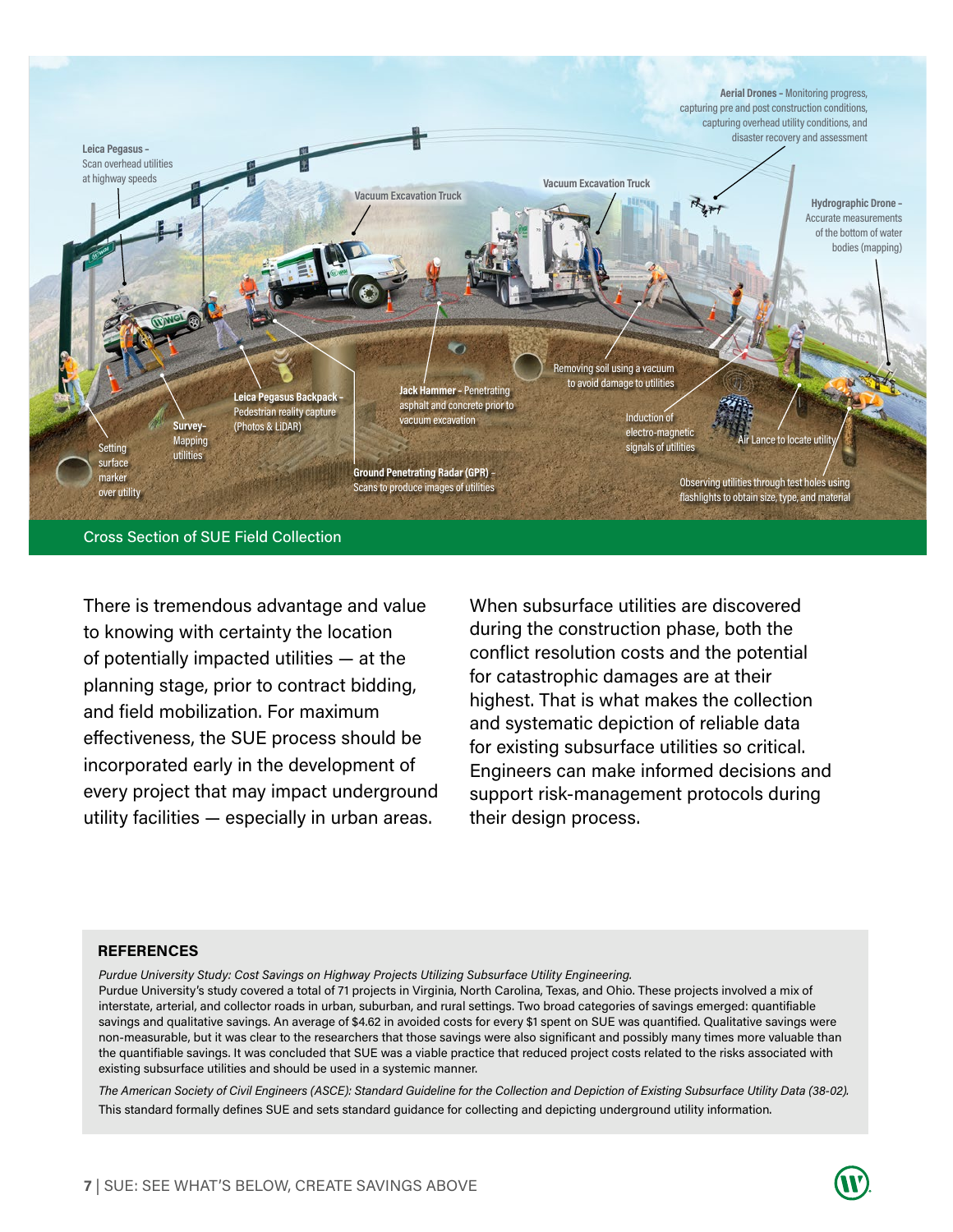

There is tremendous advantage and value to knowing with certainty the location of potentially impacted utilities — at the planning stage, prior to contract bidding, and field mobilization. For maximum effectiveness, the SUE process should be incorporated early in the development of every project that may impact underground utility facilities — especially in urban areas.

When subsurface utilities are discovered during the construction phase, both the conflict resolution costs and the potential for catastrophic damages are at their highest. That is what makes the collection and systematic depiction of reliable data for existing subsurface utilities so critical. Engineers can make informed decisions and support risk-management protocols during their design process.

#### **REFERENCES**

*Purdue University Study: Cost Savings on Highway Projects Utilizing Subsurface Utility Engineering.*  Purdue University's study covered a total of 71 projects in Virginia, North Carolina, Texas, and Ohio. These projects involved a mix of interstate, arterial, and collector roads in urban, suburban, and rural settings. Two broad categories of savings emerged: quantifiable savings and qualitative savings. An average of \$4.62 in avoided costs for every \$1 spent on SUE was quantified. Qualitative savings were non-measurable, but it was clear to the researchers that those savings were also significant and possibly many times more valuable than the quantifiable savings. It was concluded that SUE was a viable practice that reduced project costs related to the risks associated with existing subsurface utilities and should be used in a systemic manner.

*The American Society of Civil Engineers (ASCE): Standard Guideline for the Collection and Depiction of Existing Subsurface Utility Data (38-02).*  This standard formally defines SUE and sets standard guidance for collecting and depicting underground utility information.